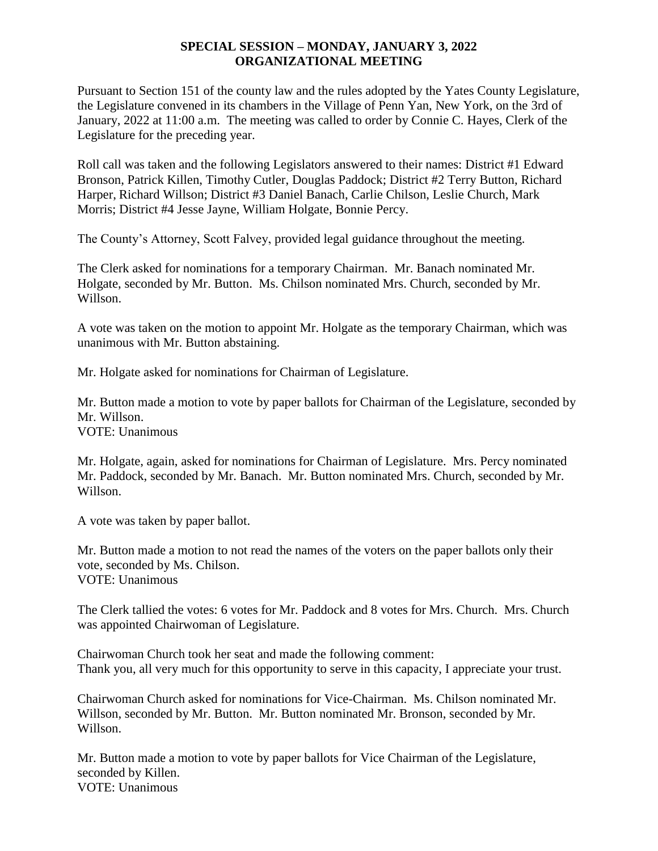### **SPECIAL SESSION – MONDAY, JANUARY 3, 2022 ORGANIZATIONAL MEETING**

Pursuant to Section 151 of the county law and the rules adopted by the Yates County Legislature, the Legislature convened in its chambers in the Village of Penn Yan, New York, on the 3rd of January, 2022 at 11:00 a.m. The meeting was called to order by Connie C. Hayes, Clerk of the Legislature for the preceding year.

Roll call was taken and the following Legislators answered to their names: District #1 Edward Bronson, Patrick Killen, Timothy Cutler, Douglas Paddock; District #2 Terry Button, Richard Harper, Richard Willson; District #3 Daniel Banach, Carlie Chilson, Leslie Church, Mark Morris; District #4 Jesse Jayne, William Holgate, Bonnie Percy.

The County's Attorney, Scott Falvey, provided legal guidance throughout the meeting.

The Clerk asked for nominations for a temporary Chairman. Mr. Banach nominated Mr. Holgate, seconded by Mr. Button. Ms. Chilson nominated Mrs. Church, seconded by Mr. Willson.

A vote was taken on the motion to appoint Mr. Holgate as the temporary Chairman, which was unanimous with Mr. Button abstaining.

Mr. Holgate asked for nominations for Chairman of Legislature.

Mr. Button made a motion to vote by paper ballots for Chairman of the Legislature, seconded by Mr. Willson.

VOTE: Unanimous

Mr. Holgate, again, asked for nominations for Chairman of Legislature. Mrs. Percy nominated Mr. Paddock, seconded by Mr. Banach. Mr. Button nominated Mrs. Church, seconded by Mr. Willson.

A vote was taken by paper ballot.

Mr. Button made a motion to not read the names of the voters on the paper ballots only their vote, seconded by Ms. Chilson. VOTE: Unanimous

The Clerk tallied the votes: 6 votes for Mr. Paddock and 8 votes for Mrs. Church. Mrs. Church was appointed Chairwoman of Legislature.

Chairwoman Church took her seat and made the following comment: Thank you, all very much for this opportunity to serve in this capacity, I appreciate your trust.

Chairwoman Church asked for nominations for Vice-Chairman. Ms. Chilson nominated Mr. Willson, seconded by Mr. Button. Mr. Button nominated Mr. Bronson, seconded by Mr. Willson.

Mr. Button made a motion to vote by paper ballots for Vice Chairman of the Legislature, seconded by Killen. VOTE: Unanimous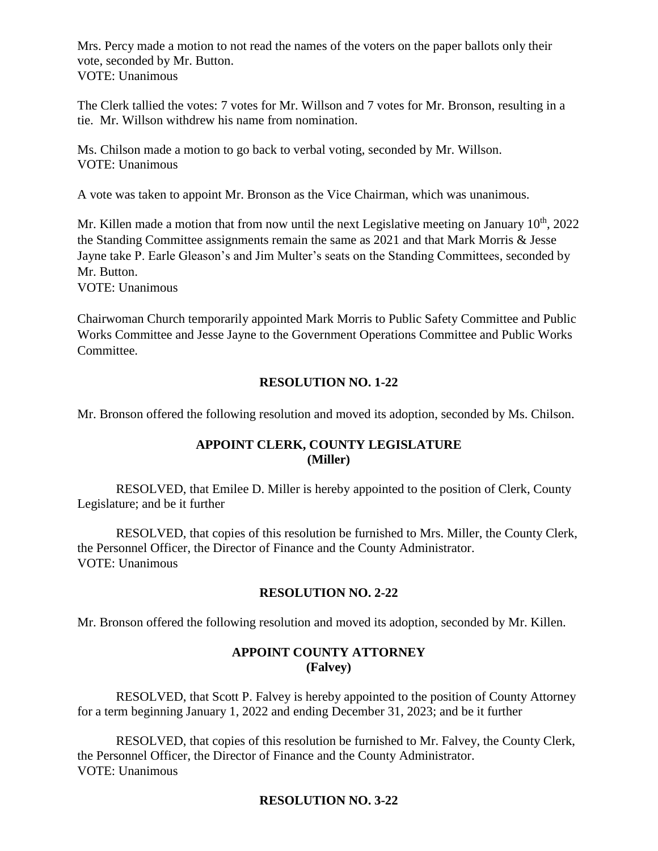Mrs. Percy made a motion to not read the names of the voters on the paper ballots only their vote, seconded by Mr. Button. VOTE: Unanimous

The Clerk tallied the votes: 7 votes for Mr. Willson and 7 votes for Mr. Bronson, resulting in a tie. Mr. Willson withdrew his name from nomination.

Ms. Chilson made a motion to go back to verbal voting, seconded by Mr. Willson. VOTE: Unanimous

A vote was taken to appoint Mr. Bronson as the Vice Chairman, which was unanimous.

Mr. Killen made a motion that from now until the next Legislative meeting on January  $10^{th}$ , 2022 the Standing Committee assignments remain the same as 2021 and that Mark Morris & Jesse Jayne take P. Earle Gleason's and Jim Multer's seats on the Standing Committees, seconded by Mr. Button.

VOTE: Unanimous

Chairwoman Church temporarily appointed Mark Morris to Public Safety Committee and Public Works Committee and Jesse Jayne to the Government Operations Committee and Public Works Committee.

#### **RESOLUTION NO. 1-22**

Mr. Bronson offered the following resolution and moved its adoption, seconded by Ms. Chilson.

#### **APPOINT CLERK, COUNTY LEGISLATURE (Miller)**

RESOLVED, that Emilee D. Miller is hereby appointed to the position of Clerk, County Legislature; and be it further

RESOLVED, that copies of this resolution be furnished to Mrs. Miller, the County Clerk, the Personnel Officer, the Director of Finance and the County Administrator. VOTE: Unanimous

#### **RESOLUTION NO. 2-22**

Mr. Bronson offered the following resolution and moved its adoption, seconded by Mr. Killen.

### **APPOINT COUNTY ATTORNEY (Falvey)**

RESOLVED, that Scott P. Falvey is hereby appointed to the position of County Attorney for a term beginning January 1, 2022 and ending December 31, 2023; and be it further

RESOLVED, that copies of this resolution be furnished to Mr. Falvey, the County Clerk, the Personnel Officer, the Director of Finance and the County Administrator. VOTE: Unanimous

#### **RESOLUTION NO. 3-22**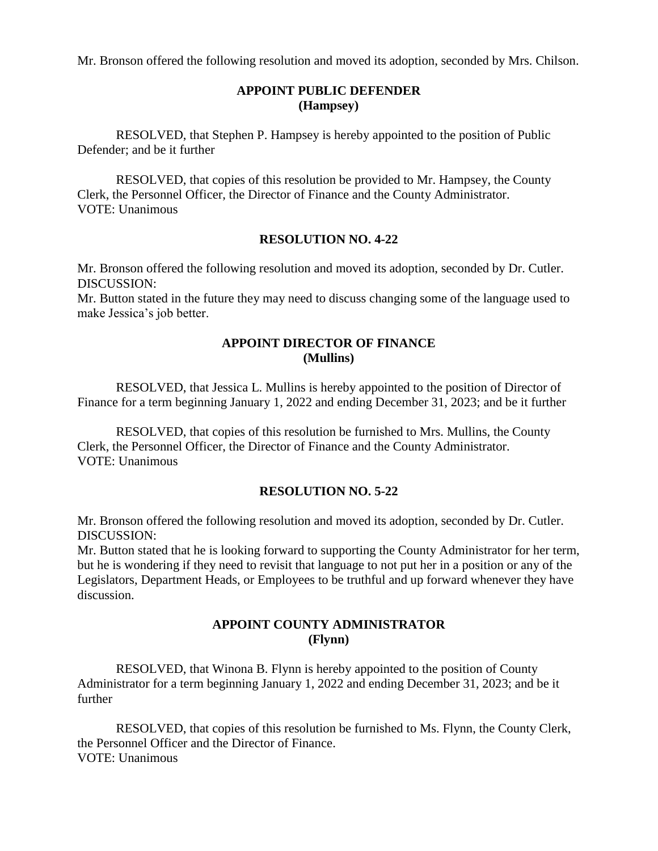Mr. Bronson offered the following resolution and moved its adoption, seconded by Mrs. Chilson.

# **APPOINT PUBLIC DEFENDER (Hampsey)**

RESOLVED, that Stephen P. Hampsey is hereby appointed to the position of Public Defender; and be it further

RESOLVED, that copies of this resolution be provided to Mr. Hampsey, the County Clerk, the Personnel Officer, the Director of Finance and the County Administrator. VOTE: Unanimous

#### **RESOLUTION NO. 4-22**

Mr. Bronson offered the following resolution and moved its adoption, seconded by Dr. Cutler. DISCUSSION:

Mr. Button stated in the future they may need to discuss changing some of the language used to make Jessica's job better.

### **APPOINT DIRECTOR OF FINANCE (Mullins)**

RESOLVED, that Jessica L. Mullins is hereby appointed to the position of Director of Finance for a term beginning January 1, 2022 and ending December 31, 2023; and be it further

RESOLVED, that copies of this resolution be furnished to Mrs. Mullins, the County Clerk, the Personnel Officer, the Director of Finance and the County Administrator. VOTE: Unanimous

## **RESOLUTION NO. 5-22**

Mr. Bronson offered the following resolution and moved its adoption, seconded by Dr. Cutler. DISCUSSION:

Mr. Button stated that he is looking forward to supporting the County Administrator for her term, but he is wondering if they need to revisit that language to not put her in a position or any of the Legislators, Department Heads, or Employees to be truthful and up forward whenever they have discussion.

### **APPOINT COUNTY ADMINISTRATOR (Flynn)**

RESOLVED, that Winona B. Flynn is hereby appointed to the position of County Administrator for a term beginning January 1, 2022 and ending December 31, 2023; and be it further

RESOLVED, that copies of this resolution be furnished to Ms. Flynn, the County Clerk, the Personnel Officer and the Director of Finance. VOTE: Unanimous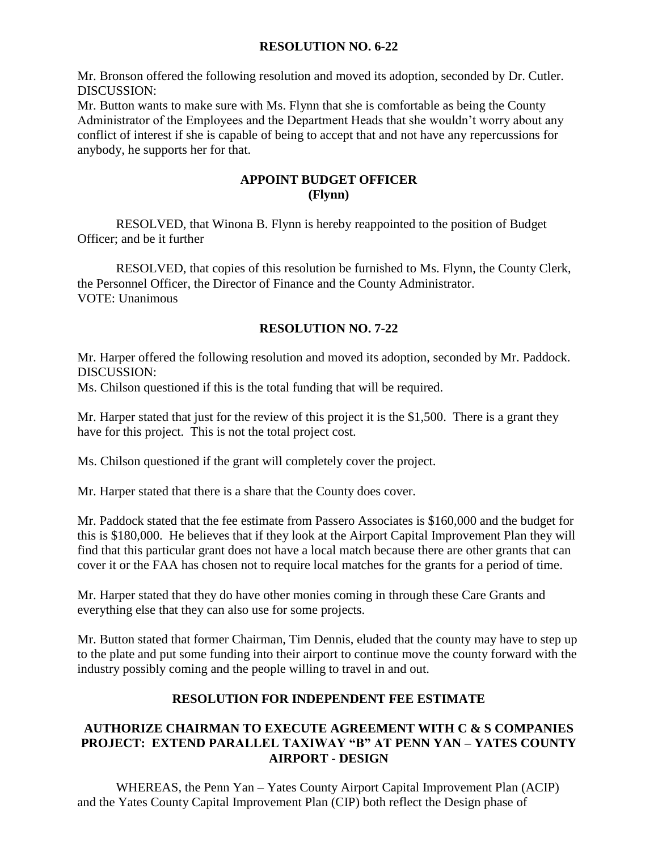### **RESOLUTION NO. 6-22**

Mr. Bronson offered the following resolution and moved its adoption, seconded by Dr. Cutler. DISCUSSION:

Mr. Button wants to make sure with Ms. Flynn that she is comfortable as being the County Administrator of the Employees and the Department Heads that she wouldn't worry about any conflict of interest if she is capable of being to accept that and not have any repercussions for anybody, he supports her for that.

### **APPOINT BUDGET OFFICER (Flynn)**

RESOLVED, that Winona B. Flynn is hereby reappointed to the position of Budget Officer; and be it further

RESOLVED, that copies of this resolution be furnished to Ms. Flynn, the County Clerk, the Personnel Officer, the Director of Finance and the County Administrator. VOTE: Unanimous

# **RESOLUTION NO. 7-22**

Mr. Harper offered the following resolution and moved its adoption, seconded by Mr. Paddock. DISCUSSION:

Ms. Chilson questioned if this is the total funding that will be required.

Mr. Harper stated that just for the review of this project it is the \$1,500. There is a grant they have for this project. This is not the total project cost.

Ms. Chilson questioned if the grant will completely cover the project.

Mr. Harper stated that there is a share that the County does cover.

Mr. Paddock stated that the fee estimate from Passero Associates is \$160,000 and the budget for this is \$180,000. He believes that if they look at the Airport Capital Improvement Plan they will find that this particular grant does not have a local match because there are other grants that can cover it or the FAA has chosen not to require local matches for the grants for a period of time.

Mr. Harper stated that they do have other monies coming in through these Care Grants and everything else that they can also use for some projects.

Mr. Button stated that former Chairman, Tim Dennis, eluded that the county may have to step up to the plate and put some funding into their airport to continue move the county forward with the industry possibly coming and the people willing to travel in and out.

## **RESOLUTION FOR INDEPENDENT FEE ESTIMATE**

## **AUTHORIZE CHAIRMAN TO EXECUTE AGREEMENT WITH C & S COMPANIES PROJECT: EXTEND PARALLEL TAXIWAY "B" AT PENN YAN – YATES COUNTY AIRPORT - DESIGN**

WHEREAS, the Penn Yan – Yates County Airport Capital Improvement Plan (ACIP) and the Yates County Capital Improvement Plan (CIP) both reflect the Design phase of